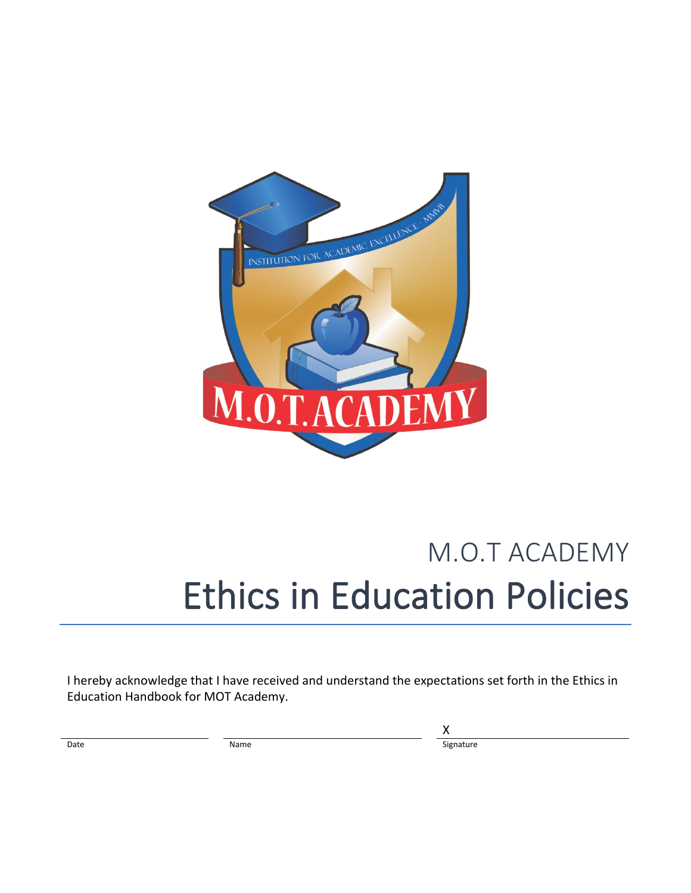

# M.O.T ACADEMY Ethics in Education Policies

I hereby acknowledge that I have received and understand the expectations set forth in the Ethics in Education Handbook for MOT Academy.

Date **Name** Name **Name** Signature

| Signature |
|-----------|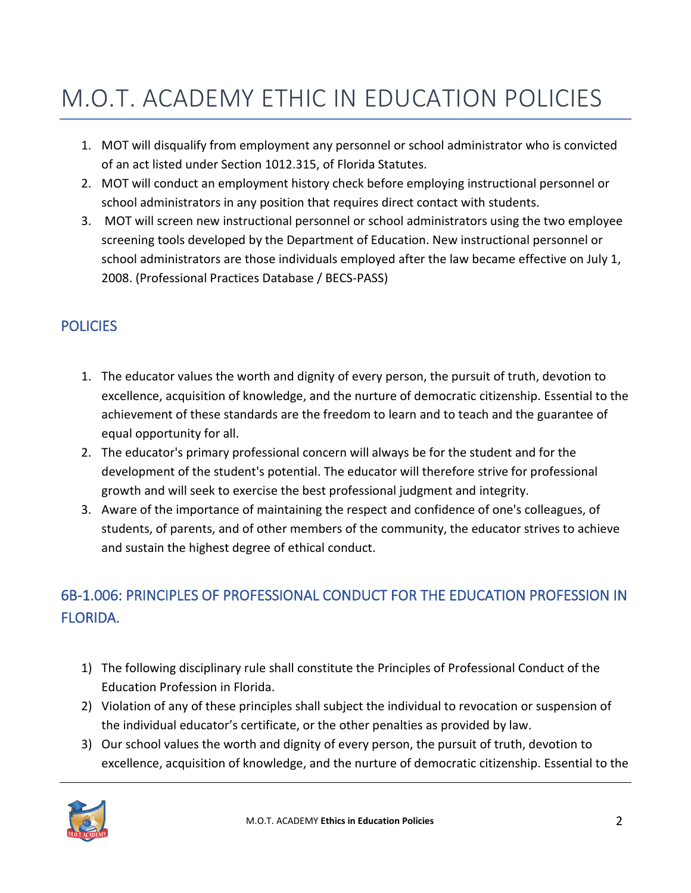# M.O.T. ACADEMY ETHIC IN EDUCATION POLICIES

- 1. MOT will disqualify from employment any personnel or school administrator who is convicted of an act listed under Section 1012.315, of Florida Statutes.
- 2. MOT will conduct an employment history check before employing instructional personnel or school administrators in any position that requires direct contact with students.
- 3. MOT will screen new instructional personnel or school administrators using the two employee screening tools developed by the Department of Education. New instructional personnel or school administrators are those individuals employed after the law became effective on July 1, 2008. (Professional Practices Database / BECS-PASS)

# **POLICIES**

- 1. The educator values the worth and dignity of every person, the pursuit of truth, devotion to excellence, acquisition of knowledge, and the nurture of democratic citizenship. Essential to the achievement of these standards are the freedom to learn and to teach and the guarantee of equal opportunity for all.
- 2. The educator's primary professional concern will always be for the student and for the development of the student's potential. The educator will therefore strive for professional growth and will seek to exercise the best professional judgment and integrity.
- 3. Aware of the importance of maintaining the respect and confidence of one's colleagues, of students, of parents, and of other members of the community, the educator strives to achieve and sustain the highest degree of ethical conduct.

# 6B-1.006: PRINCIPLES OF PROFESSIONAL CONDUCT FOR THE EDUCATION PROFESSION IN FLORIDA.

- 1) The following disciplinary rule shall constitute the Principles of Professional Conduct of the Education Profession in Florida.
- 2) Violation of any of these principles shall subject the individual to revocation or suspension of the individual educator's certificate, or the other penalties as provided by law.
- 3) Our school values the worth and dignity of every person, the pursuit of truth, devotion to excellence, acquisition of knowledge, and the nurture of democratic citizenship. Essential to the

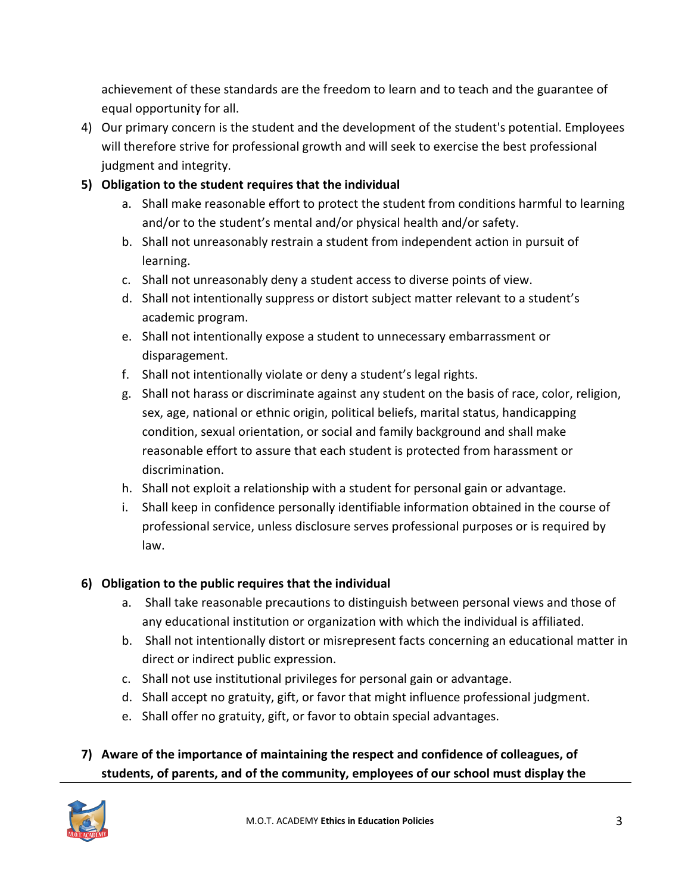achievement of these standards are the freedom to learn and to teach and the guarantee of equal opportunity for all.

4) Our primary concern is the student and the development of the student's potential. Employees will therefore strive for professional growth and will seek to exercise the best professional judgment and integrity.

#### **5) Obligation to the student requires that the individual**

- a. Shall make reasonable effort to protect the student from conditions harmful to learning and/or to the student's mental and/or physical health and/or safety.
- b. Shall not unreasonably restrain a student from independent action in pursuit of learning.
- c. Shall not unreasonably deny a student access to diverse points of view.
- d. Shall not intentionally suppress or distort subject matter relevant to a student's academic program.
- e. Shall not intentionally expose a student to unnecessary embarrassment or disparagement.
- f. Shall not intentionally violate or deny a student's legal rights.
- g. Shall not harass or discriminate against any student on the basis of race, color, religion, sex, age, national or ethnic origin, political beliefs, marital status, handicapping condition, sexual orientation, or social and family background and shall make reasonable effort to assure that each student is protected from harassment or discrimination.
- h. Shall not exploit a relationship with a student for personal gain or advantage.
- i. Shall keep in confidence personally identifiable information obtained in the course of professional service, unless disclosure serves professional purposes or is required by law.

#### **6) Obligation to the public requires that the individual**

- a. Shall take reasonable precautions to distinguish between personal views and those of any educational institution or organization with which the individual is affiliated.
- b. Shall not intentionally distort or misrepresent facts concerning an educational matter in direct or indirect public expression.
- c. Shall not use institutional privileges for personal gain or advantage.
- d. Shall accept no gratuity, gift, or favor that might influence professional judgment.
- e. Shall offer no gratuity, gift, or favor to obtain special advantages.

### **7) Aware of the importance of maintaining the respect and confidence of colleagues, of students, of parents, and of the community, employees of our school must display the**

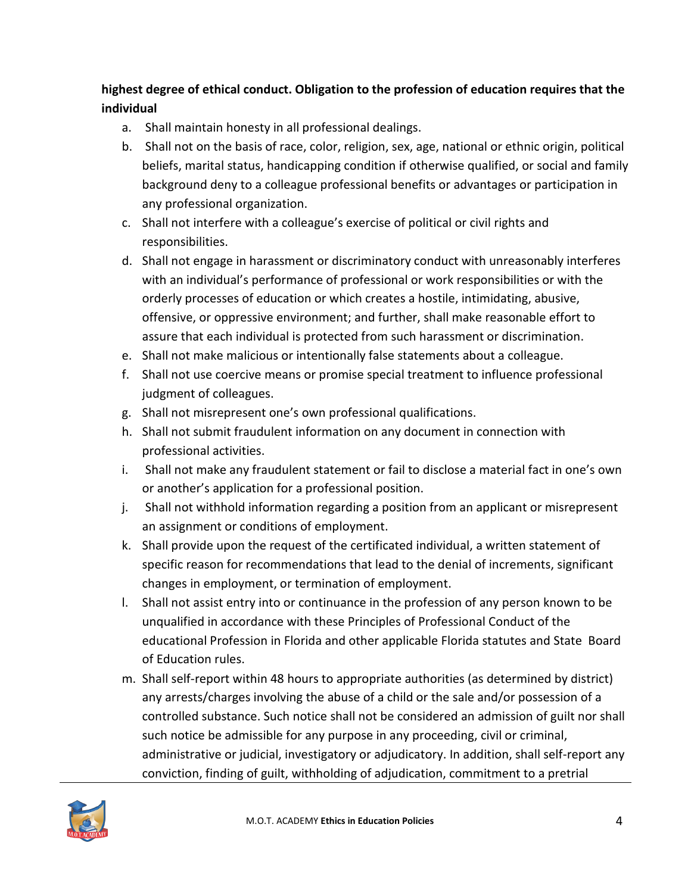#### **highest degree of ethical conduct. Obligation to the profession of education requires that the individual**

- a. Shall maintain honesty in all professional dealings.
- b. Shall not on the basis of race, color, religion, sex, age, national or ethnic origin, political beliefs, marital status, handicapping condition if otherwise qualified, or social and family background deny to a colleague professional benefits or advantages or participation in any professional organization.
- c. Shall not interfere with a colleague's exercise of political or civil rights and responsibilities.
- d. Shall not engage in harassment or discriminatory conduct with unreasonably interferes with an individual's performance of professional or work responsibilities or with the orderly processes of education or which creates a hostile, intimidating, abusive, offensive, or oppressive environment; and further, shall make reasonable effort to assure that each individual is protected from such harassment or discrimination.
- e. Shall not make malicious or intentionally false statements about a colleague.
- f. Shall not use coercive means or promise special treatment to influence professional judgment of colleagues.
- g. Shall not misrepresent one's own professional qualifications.
- h. Shall not submit fraudulent information on any document in connection with professional activities.
- i. Shall not make any fraudulent statement or fail to disclose a material fact in one's own or another's application for a professional position.
- j. Shall not withhold information regarding a position from an applicant or misrepresent an assignment or conditions of employment.
- k. Shall provide upon the request of the certificated individual, a written statement of specific reason for recommendations that lead to the denial of increments, significant changes in employment, or termination of employment.
- l. Shall not assist entry into or continuance in the profession of any person known to be unqualified in accordance with these Principles of Professional Conduct of the educational Profession in Florida and other applicable Florida statutes and State Board of Education rules.
- m. Shall self-report within 48 hours to appropriate authorities (as determined by district) any arrests/charges involving the abuse of a child or the sale and/or possession of a controlled substance. Such notice shall not be considered an admission of guilt nor shall such notice be admissible for any purpose in any proceeding, civil or criminal, administrative or judicial, investigatory or adjudicatory. In addition, shall self-report any conviction, finding of guilt, withholding of adjudication, commitment to a pretrial

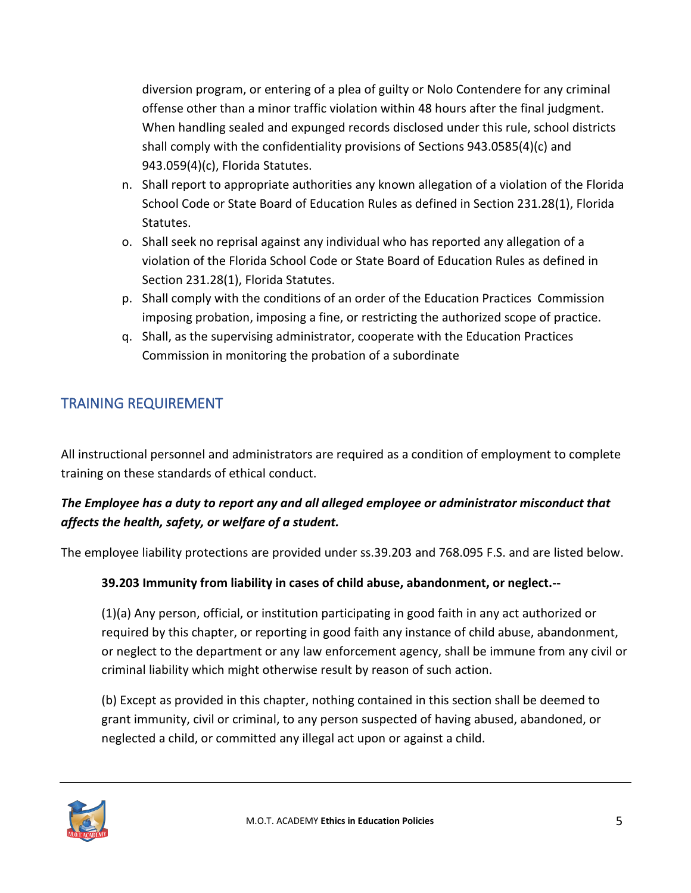diversion program, or entering of a plea of guilty or Nolo Contendere for any criminal offense other than a minor traffic violation within 48 hours after the final judgment. When handling sealed and expunged records disclosed under this rule, school districts shall comply with the confidentiality provisions of Sections 943.0585(4)(c) and 943.059(4)(c), Florida Statutes.

- n. Shall report to appropriate authorities any known allegation of a violation of the Florida School Code or State Board of Education Rules as defined in Section 231.28(1), Florida Statutes.
- o. Shall seek no reprisal against any individual who has reported any allegation of a violation of the Florida School Code or State Board of Education Rules as defined in Section 231.28(1), Florida Statutes.
- p. Shall comply with the conditions of an order of the Education Practices Commission imposing probation, imposing a fine, or restricting the authorized scope of practice.
- q. Shall, as the supervising administrator, cooperate with the Education Practices Commission in monitoring the probation of a subordinate

# TRAINING REQUIREMENT

All instructional personnel and administrators are required as a condition of employment to complete training on these standards of ethical conduct.

### *The Employee has a duty to report any and all alleged employee or administrator misconduct that affects the health, safety, or welfare of a student.*

The employee liability protections are provided under ss.39.203 and 768.095 F.S. and are listed below.

#### **39.203 Immunity from liability in cases of child abuse, abandonment, or neglect.--**

(1)(a) Any person, official, or institution participating in good faith in any act authorized or required by this chapter, or reporting in good faith any instance of child abuse, abandonment, or neglect to the department or any law enforcement agency, shall be immune from any civil or criminal liability which might otherwise result by reason of such action.

(b) Except as provided in this chapter, nothing contained in this section shall be deemed to grant immunity, civil or criminal, to any person suspected of having abused, abandoned, or neglected a child, or committed any illegal act upon or against a child.

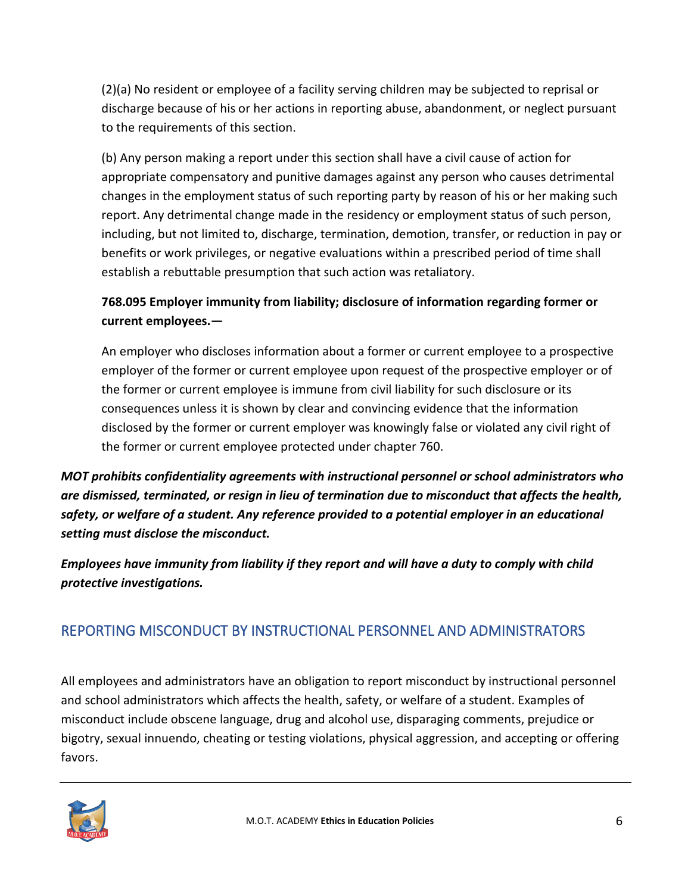(2)(a) No resident or employee of a facility serving children may be subjected to reprisal or discharge because of his or her actions in reporting abuse, abandonment, or neglect pursuant to the requirements of this section.

(b) Any person making a report under this section shall have a civil cause of action for appropriate compensatory and punitive damages against any person who causes detrimental changes in the employment status of such reporting party by reason of his or her making such report. Any detrimental change made in the residency or employment status of such person, including, but not limited to, discharge, termination, demotion, transfer, or reduction in pay or benefits or work privileges, or negative evaluations within a prescribed period of time shall establish a rebuttable presumption that such action was retaliatory.

# **768.095 Employer immunity from liability; disclosure of information regarding former or current employees.—**

An employer who discloses information about a former or current employee to a prospective employer of the former or current employee upon request of the prospective employer or of the former or current employee is immune from civil liability for such disclosure or its consequences unless it is shown by clear and convincing evidence that the information disclosed by the former or current employer was knowingly false or violated any civil right of the former or current employee protected under chapter 760.

*MOT prohibits confidentiality agreements with instructional personnel or school administrators who are dismissed, terminated, or resign in lieu of termination due to misconduct that affects the health, safety, or welfare of a student. Any reference provided to a potential employer in an educational setting must disclose the misconduct.*

*Employees have immunity from liability if they report and will have a duty to comply with child protective investigations.*

# REPORTING MISCONDUCT BY INSTRUCTIONAL PERSONNEL AND ADMINISTRATORS

All employees and administrators have an obligation to report misconduct by instructional personnel and school administrators which affects the health, safety, or welfare of a student. Examples of misconduct include obscene language, drug and alcohol use, disparaging comments, prejudice or bigotry, sexual innuendo, cheating or testing violations, physical aggression, and accepting or offering favors.

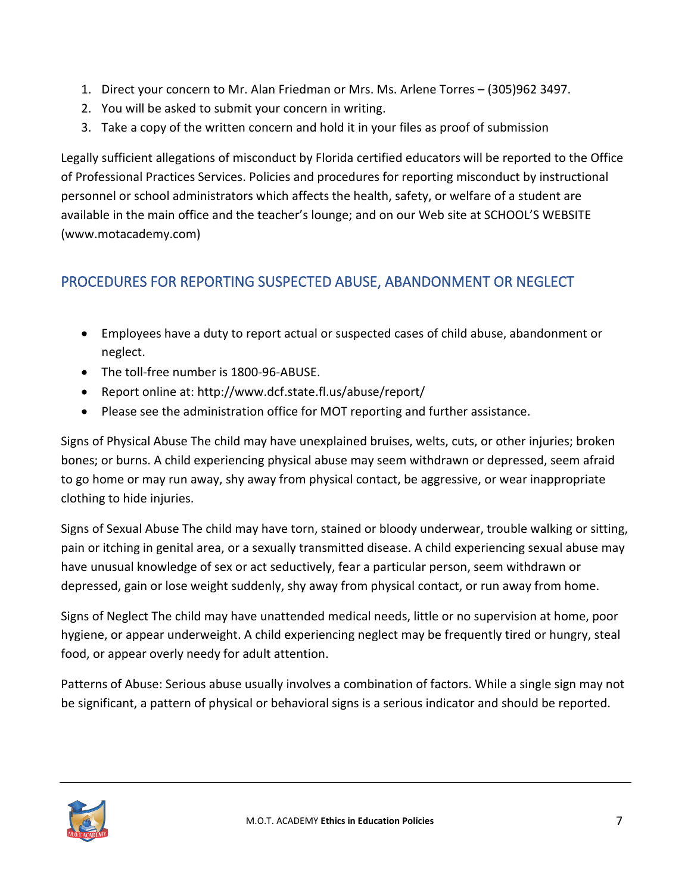- 1. Direct your concern to Mr. Alan Friedman or Mrs. Ms. Arlene Torres (305)962 3497.
- 2. You will be asked to submit your concern in writing.
- 3. Take a copy of the written concern and hold it in your files as proof of submission

Legally sufficient allegations of misconduct by Florida certified educators will be reported to the Office of Professional Practices Services. Policies and procedures for reporting misconduct by instructional personnel or school administrators which affects the health, safety, or welfare of a student are available in the main office and the teacher's lounge; and on our Web site at SCHOOL'S WEBSITE (www.motacademy.com)

# PROCEDURES FOR REPORTING SUSPECTED ABUSE, ABANDONMENT OR NEGLECT

- Employees have a duty to report actual or suspected cases of child abuse, abandonment or neglect.
- The toll-free number is 1800-96-ABUSE.
- Report online at: http://www.dcf.state.fl.us/abuse/report/
- Please see the administration office for MOT reporting and further assistance.

Signs of Physical Abuse The child may have unexplained bruises, welts, cuts, or other injuries; broken bones; or burns. A child experiencing physical abuse may seem withdrawn or depressed, seem afraid to go home or may run away, shy away from physical contact, be aggressive, or wear inappropriate clothing to hide injuries.

Signs of Sexual Abuse The child may have torn, stained or bloody underwear, trouble walking or sitting, pain or itching in genital area, or a sexually transmitted disease. A child experiencing sexual abuse may have unusual knowledge of sex or act seductively, fear a particular person, seem withdrawn or depressed, gain or lose weight suddenly, shy away from physical contact, or run away from home.

Signs of Neglect The child may have unattended medical needs, little or no supervision at home, poor hygiene, or appear underweight. A child experiencing neglect may be frequently tired or hungry, steal food, or appear overly needy for adult attention.

Patterns of Abuse: Serious abuse usually involves a combination of factors. While a single sign may not be significant, a pattern of physical or behavioral signs is a serious indicator and should be reported.